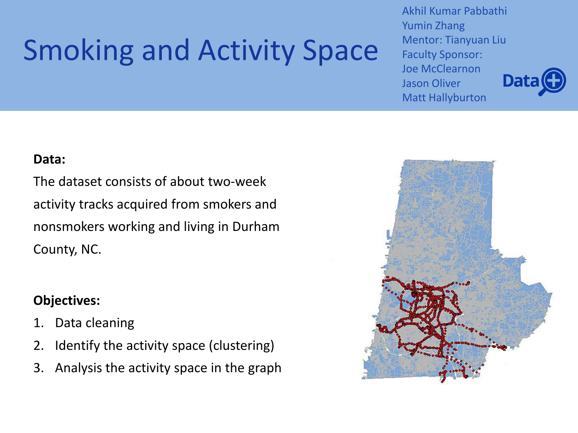# Smoking and Activity Space

Akhil Kumar Pabbathi Yumin Zhang Mentor: Tianyuan Liu Faculty Sponsor: Joe McClearnon Jason Oliver Matt Hallyburton



#### **Data:**

The dataset consists of about two-week activity tracks acquired from smokers and nonsmokers working and living in Durham County, NC.

### **Objectives:**

- 1. Data cleaning
- 2. Identify the activity space (clustering)
- 3. Analysis the activity space in the graph

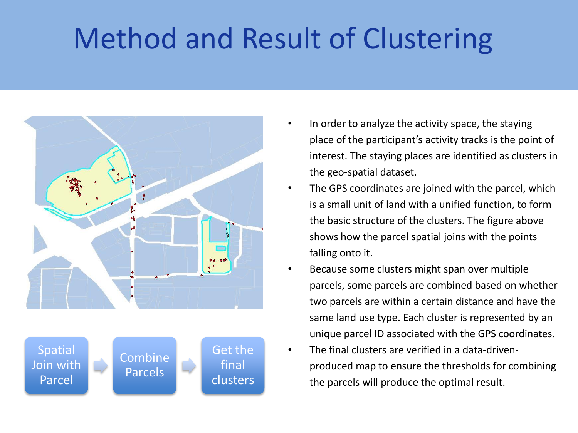## Method and Result of Clustering





- In order to analyze the activity space, the staying place of the participant's activity tracks is the point of interest. The staying places are identified as clusters in the geo-spatial dataset.
- The GPS coordinates are joined with the parcel, which is a small unit of land with a unified function, to form the basic structure of the clusters. The figure above shows how the parcel spatial joins with the points falling onto it.
- Because some clusters might span over multiple parcels, some parcels are combined based on whether two parcels are within a certain distance and have the same land use type. Each cluster is represented by an unique parcel ID associated with the GPS coordinates.
- The final clusters are verified in a data-drivenproduced map to ensure the thresholds for combining the parcels will produce the optimal result.